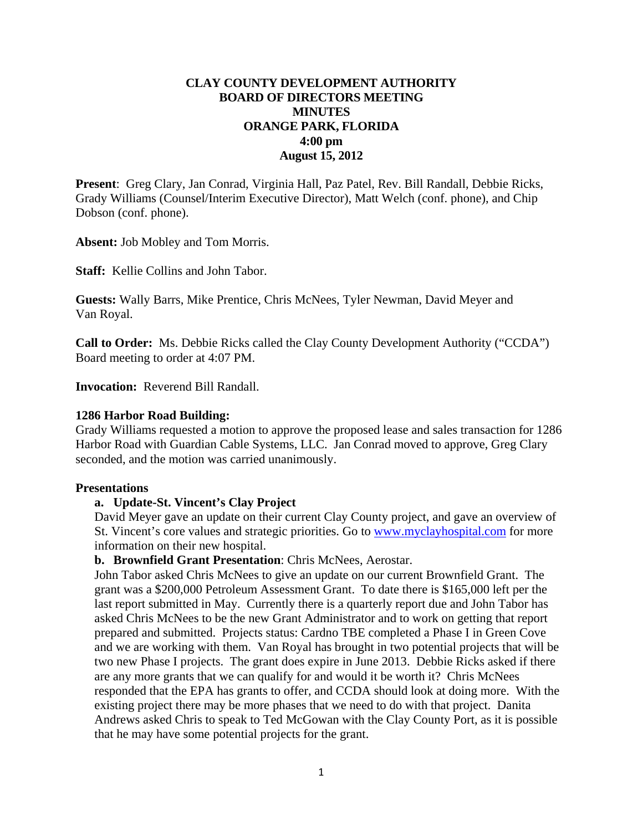# **CLAY COUNTY DEVELOPMENT AUTHORITY BOARD OF DIRECTORS MEETING MINUTES ORANGE PARK, FLORIDA 4:00 pm August 15, 2012**

**Present**: Greg Clary, Jan Conrad, Virginia Hall, Paz Patel, Rev. Bill Randall, Debbie Ricks, Grady Williams (Counsel/Interim Executive Director), Matt Welch (conf. phone), and Chip Dobson (conf. phone).

**Absent:** Job Mobley and Tom Morris.

**Staff:** Kellie Collins and John Tabor.

**Guests:** Wally Barrs, Mike Prentice, Chris McNees, Tyler Newman, David Meyer and Van Royal.

**Call to Order:** Ms. Debbie Ricks called the Clay County Development Authority ("CCDA") Board meeting to order at 4:07 PM.

**Invocation:** Reverend Bill Randall.

#### **1286 Harbor Road Building:**

Grady Williams requested a motion to approve the proposed lease and sales transaction for 1286 Harbor Road with Guardian Cable Systems, LLC. Jan Conrad moved to approve, Greg Clary seconded, and the motion was carried unanimously.

#### **Presentations**

### **a. Update-St. Vincent's Clay Project**

David Meyer gave an update on their current Clay County project, and gave an overview of St. Vincent's core values and strategic priorities. Go to [www.myclayhospital.com](http://www.myclayhospital.com/) for more information on their new hospital.

### **b. Brownfield Grant Presentation**: Chris McNees, Aerostar.

John Tabor asked Chris McNees to give an update on our current Brownfield Grant. The grant was a \$200,000 Petroleum Assessment Grant. To date there is \$165,000 left per the last report submitted in May. Currently there is a quarterly report due and John Tabor has asked Chris McNees to be the new Grant Administrator and to work on getting that report prepared and submitted. Projects status: Cardno TBE completed a Phase I in Green Cove and we are working with them. Van Royal has brought in two potential projects that will be two new Phase I projects. The grant does expire in June 2013. Debbie Ricks asked if there are any more grants that we can qualify for and would it be worth it? Chris McNees responded that the EPA has grants to offer, and CCDA should look at doing more. With the existing project there may be more phases that we need to do with that project. Danita Andrews asked Chris to speak to Ted McGowan with the Clay County Port, as it is possible that he may have some potential projects for the grant.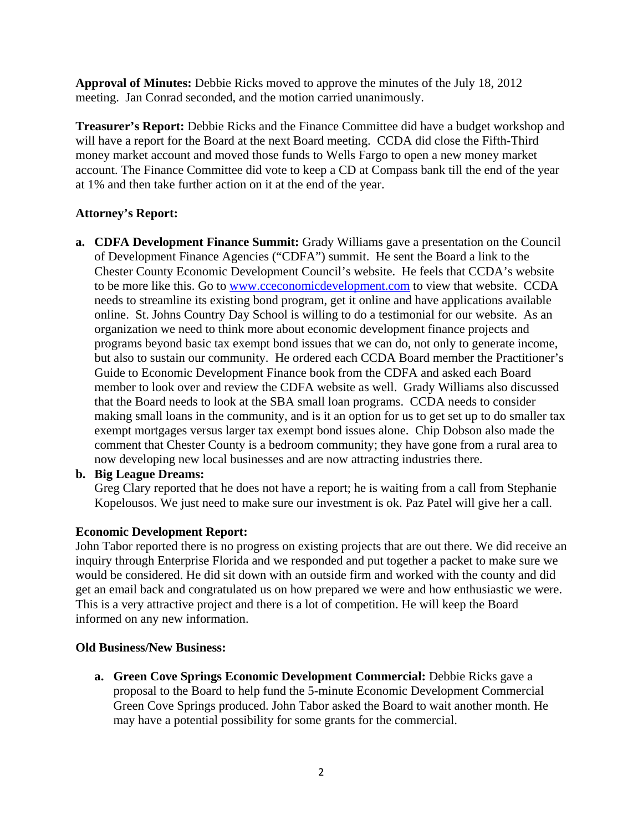**Approval of Minutes:** Debbie Ricks moved to approve the minutes of the July 18, 2012 meeting. Jan Conrad seconded, and the motion carried unanimously.

**Treasurer's Report:** Debbie Ricks and the Finance Committee did have a budget workshop and will have a report for the Board at the next Board meeting. CCDA did close the Fifth-Third money market account and moved those funds to Wells Fargo to open a new money market account. The Finance Committee did vote to keep a CD at Compass bank till the end of the year at 1% and then take further action on it at the end of the year.

# **Attorney's Report:**

**a. CDFA Development Finance Summit:** Grady Williams gave a presentation on the Council of Development Finance Agencies ("CDFA") summit. He sent the Board a link to the Chester County Economic Development Council's website. He feels that CCDA's website to be more like this. Go to [www.cceconomicdevelopment.com](http://www.cceconomicdevelopment.com/) to view that website. CCDA needs to streamline its existing bond program, get it online and have applications available online. St. Johns Country Day School is willing to do a testimonial for our website. As an organization we need to think more about economic development finance projects and programs beyond basic tax exempt bond issues that we can do, not only to generate income, but also to sustain our community. He ordered each CCDA Board member the Practitioner's Guide to Economic Development Finance book from the CDFA and asked each Board member to look over and review the CDFA website as well. Grady Williams also discussed that the Board needs to look at the SBA small loan programs. CCDA needs to consider making small loans in the community, and is it an option for us to get set up to do smaller tax exempt mortgages versus larger tax exempt bond issues alone. Chip Dobson also made the comment that Chester County is a bedroom community; they have gone from a rural area to now developing new local businesses and are now attracting industries there.

## **b. Big League Dreams:**

Greg Clary reported that he does not have a report; he is waiting from a call from Stephanie Kopelousos. We just need to make sure our investment is ok. Paz Patel will give her a call.

## **Economic Development Report:**

John Tabor reported there is no progress on existing projects that are out there. We did receive an inquiry through Enterprise Florida and we responded and put together a packet to make sure we would be considered. He did sit down with an outside firm and worked with the county and did get an email back and congratulated us on how prepared we were and how enthusiastic we were. This is a very attractive project and there is a lot of competition. He will keep the Board informed on any new information.

## **Old Business/New Business:**

**a. Green Cove Springs Economic Development Commercial:** Debbie Ricks gave a proposal to the Board to help fund the 5-minute Economic Development Commercial Green Cove Springs produced. John Tabor asked the Board to wait another month. He may have a potential possibility for some grants for the commercial.